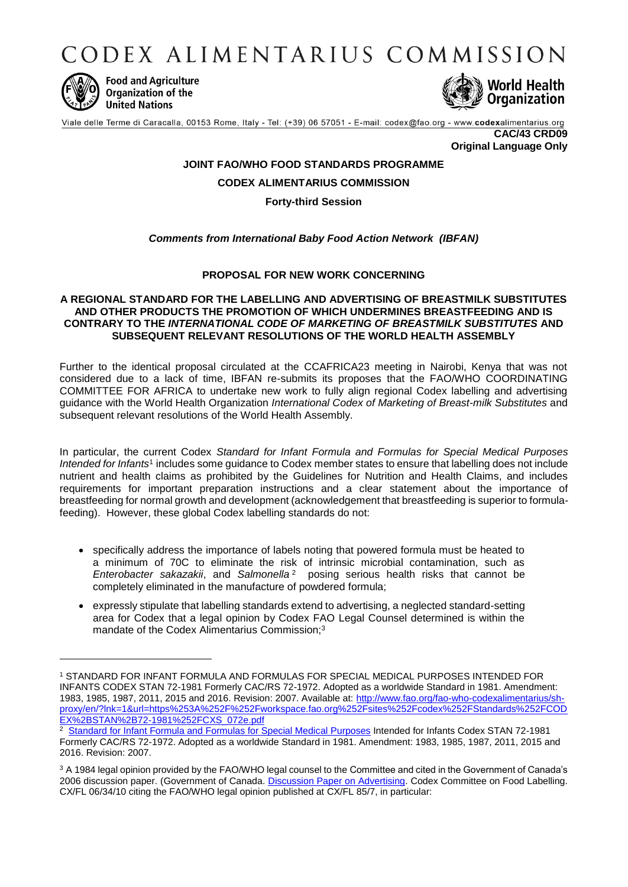CODEX ALIMENTARIUS COMMISSION



1

**Food and Agriculture** Organization of the **United Nations** 



Viale delle Terme di Caracalla, 00153 Rome, Italy - Tel: (+39) 06 57051 - E-mail: codex@fao.org - www.codexalimentarius.org

**CAC/43 CRD09 Original Language Only**

## **JOINT FAO/WHO FOOD STANDARDS PROGRAMME**

**CODEX ALIMENTARIUS COMMISSION**

**Forty-third Session** 

## *Comments from International Baby Food Action Network (IBFAN)*

## **PROPOSAL FOR NEW WORK CONCERNING**

## **A REGIONAL STANDARD FOR THE LABELLING AND ADVERTISING OF BREASTMILK SUBSTITUTES AND OTHER PRODUCTS THE PROMOTION OF WHICH UNDERMINES BREASTFEEDING AND IS CONTRARY TO THE** *INTERNATIONAL CODE OF MARKETING OF BREASTMILK SUBSTITUTES* **AND SUBSEQUENT RELEVANT RESOLUTIONS OF THE WORLD HEALTH ASSEMBLY**

Further to the identical proposal circulated at the CCAFRICA23 meeting in Nairobi, Kenya that was not considered due to a lack of time, IBFAN re-submits its proposes that the FAO/WHO COORDINATING COMMITTEE FOR AFRICA to undertake new work to fully align regional Codex labelling and advertising guidance with the World Health Organization *International Codex of Marketing of Breast-milk Substitutes* and subsequent relevant resolutions of the World Health Assembly.

In particular, the current Codex *Standard for Infant Formula and Formulas for Special Medical Purposes*  Intended for Infants<sup>1</sup> includes some guidance to Codex member states to ensure that labelling does not include nutrient and health claims as prohibited by the Guidelines for Nutrition and Health Claims, and includes requirements for important preparation instructions and a clear statement about the importance of breastfeeding for normal growth and development (acknowledgement that breastfeeding is superior to formulafeeding). However, these global Codex labelling standards do not:

- specifically address the importance of labels noting that powered formula must be heated to a minimum of 70C to eliminate the risk of intrinsic microbial contamination, such as *Enterobacter sakazakii*, and *Salmonella*<sup>2</sup> posing serious health risks that cannot be completely eliminated in the manufacture of powdered formula;
- expressly stipulate that labelling standards extend to advertising, a neglected standard-setting area for Codex that a legal opinion by Codex FAO Legal Counsel determined is within the mandate of the Codex Alimentarius Commission:<sup>3</sup>

<sup>1</sup> STANDARD FOR INFANT FORMULA AND FORMULAS FOR SPECIAL MEDICAL PURPOSES INTENDED FOR INFANTS CODEX STAN 72-1981 Formerly CAC/RS 72-1972. Adopted as a worldwide Standard in 1981. Amendment: 1983, 1985, 1987, 2011, 2015 and 2016. Revision: 2007. Available at: [http://www.fao.org/fao-who-codexalimentarius/sh](http://www.fao.org/fao-who-codexalimentarius/sh-proxy/en/?lnk=1&url=https%253A%252F%252Fworkspace.fao.org%252Fsites%252Fcodex%252FStandards%252FCODEX%2BSTAN%2B72-1981%252FCXS_072e.pdf)[proxy/en/?lnk=1&url=https%253A%252F%252Fworkspace.fao.org%252Fsites%252Fcodex%252FStandards%252FCOD](http://www.fao.org/fao-who-codexalimentarius/sh-proxy/en/?lnk=1&url=https%253A%252F%252Fworkspace.fao.org%252Fsites%252Fcodex%252FStandards%252FCODEX%2BSTAN%2B72-1981%252FCXS_072e.pdf) [EX%2BSTAN%2B72-1981%252FCXS\\_072e.pdf](http://www.fao.org/fao-who-codexalimentarius/sh-proxy/en/?lnk=1&url=https%253A%252F%252Fworkspace.fao.org%252Fsites%252Fcodex%252FStandards%252FCODEX%2BSTAN%2B72-1981%252FCXS_072e.pdf)

<sup>&</sup>lt;sup>2</sup> [Standard for Infant Formula and Formulas for Special Medical Purposes](http://www.fao.org/fao-who-codexalimentarius/sh-proxy/en/?lnk=1&url=https%253A%252F%252Fworkspace.fao.org%252Fsites%252Fcodex%252FStandards%252FCODEX%2BSTAN%2B72-1981%252FCXS_072e.pdf) Intended for Infants Codex STAN 72-1981 Formerly CAC/RS 72-1972. Adopted as a worldwide Standard in 1981. Amendment: 1983, 1985, 1987, 2011, 2015 and 2016. Revision: 2007.

<sup>&</sup>lt;sup>3</sup> A 1984 legal opinion provided by the FAO/WHO legal counsel to the Committee and cited in the Government of Canada's 2006 discussion paper. (Government of Canada. [Discussion Paper on Advertising.](http://www.fao.org/tempref/codex/Meetings/CCFL/ccfl34/fl34_10e.pdf) Codex Committee on Food Labelling. CX/FL 06/34/10 citing the FAO/WHO legal opinion published at CX/FL 85/7, in particular: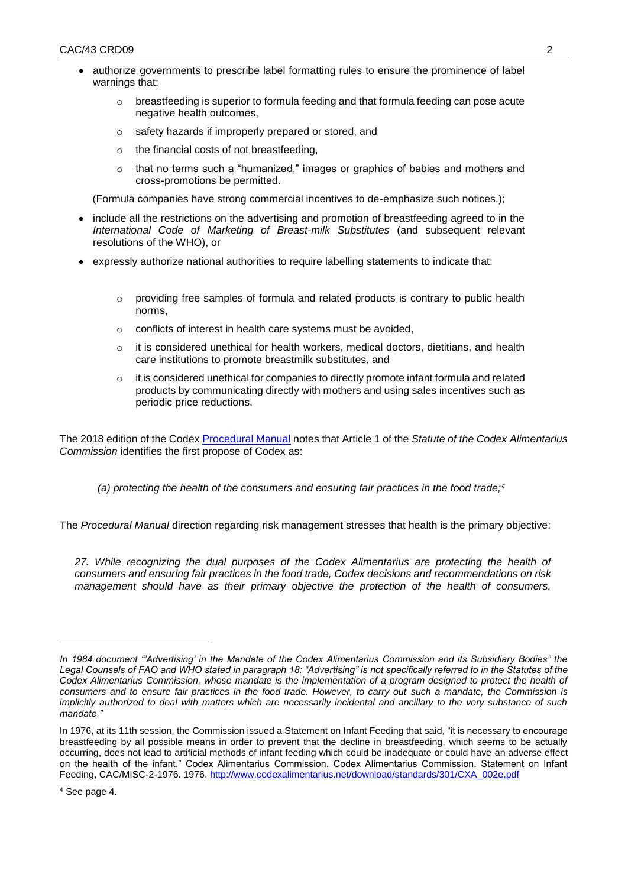- authorize governments to prescribe label formatting rules to ensure the prominence of label warnings that:
	- $\circ$  breastfeeding is superior to formula feeding and that formula feeding can pose acute negative health outcomes,
	- o safety hazards if improperly prepared or stored, and
	- o the financial costs of not breastfeeding,
	- $\circ$  that no terms such a "humanized," images or graphics of babies and mothers and cross-promotions be permitted.

(Formula companies have strong commercial incentives to de-emphasize such notices.);

- include all the restrictions on the advertising and promotion of breastfeeding agreed to in the *International Code of Marketing of Breast-milk Substitutes* (and subsequent relevant resolutions of the WHO), or
- expressly authorize national authorities to require labelling statements to indicate that:
	- $\circ$  providing free samples of formula and related products is contrary to public health norms,
	- o conflicts of interest in health care systems must be avoided,
	- $\circ$  it is considered unethical for health workers, medical doctors, dietitians, and health care institutions to promote breastmilk substitutes, and
	- $\circ$  it is considered unethical for companies to directly promote infant formula and related products by communicating directly with mothers and using sales incentives such as periodic price reductions.

The 2018 edition of the Codex [Procedural Manual](ftp://ftp.fao.org/codex/Publications/ProcManuals/Manual_24e.pdf) notes that Article 1 of the *Statute of the Codex Alimentarius Commission* identifies the first propose of Codex as:

*(a) protecting the health of the consumers and ensuring fair practices in the food trade;<sup>4</sup>*

The *Procedural Manual* direction regarding risk management stresses that health is the primary objective:

*27. While recognizing the dual purposes of the Codex Alimentarius are protecting the health of consumers and ensuring fair practices in the food trade, Codex decisions and recommendations on risk management should have as their primary objective the protection of the health of consumers.* 

-

*In 1984 document "'Advertising' in the Mandate of the Codex Alimentarius Commission and its Subsidiary Bodies" the Legal Counsels of FAO and WHO stated in paragraph 18: "Advertising" is not specifically referred to in the Statutes of the*  Codex Alimentarius Commission, whose mandate is the implementation of a program designed to protect the health of *consumers and to ensure fair practices in the food trade. However, to carry out such a mandate, the Commission is implicitly authorized to deal with matters which are necessarily incidental and ancillary to the very substance of such mandate."*

In 1976, at its 11th session, the Commission issued a Statement on Infant Feeding that said, "it is necessary to encourage breastfeeding by all possible means in order to prevent that the decline in breastfeeding, which seems to be actually occurring, does not lead to artificial methods of infant feeding which could be inadequate or could have an adverse effect on the health of the infant." Codex Alimentarius Commission. Codex Alimentarius Commission. Statement on Infant Feeding, CAC/MISC-2-1976. 1976. [http://www.codexalimentarius.net/download/standards/301/CXA\\_002e.pdf](http://www.codexalimentarius.net/download/standards/301/CXA_002e.pdf) 

<sup>4</sup> See page 4.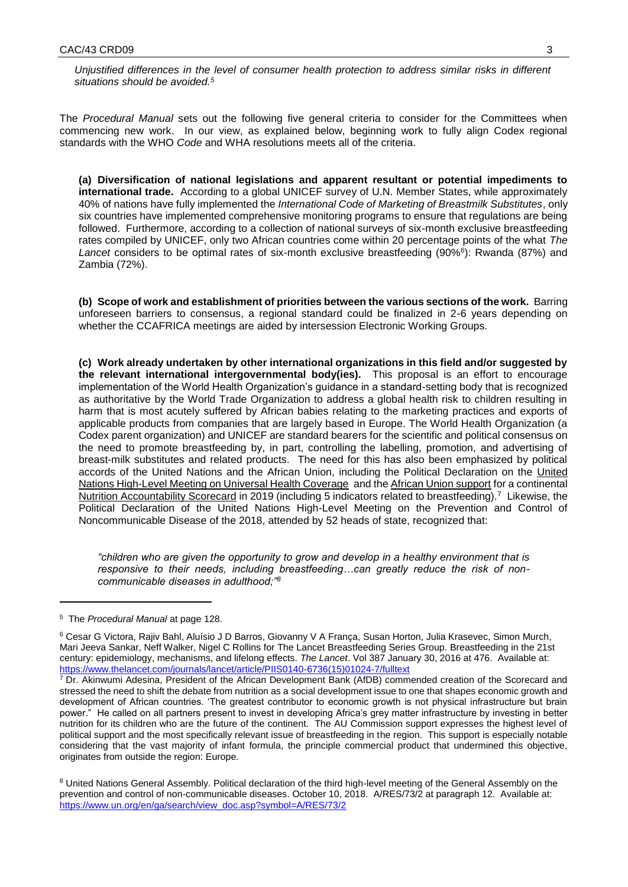*Unjustified differences in the level of consumer health protection to address similar risks in different situations should be avoided.<sup>5</sup>*

The *Procedural Manual* sets out the following five general criteria to consider for the Committees when commencing new work. In our view, as explained below, beginning work to fully align Codex regional standards with the WHO *Code* and WHA resolutions meets all of the criteria.

**(a) Diversification of national legislations and apparent resultant or potential impediments to international trade.** According to a global UNICEF survey of U.N. Member States, while approximately 40% of nations have fully implemented the *International Code of Marketing of Breastmilk Substitutes*, only six countries have implemented comprehensive monitoring programs to ensure that regulations are being followed. Furthermore, according to a collection of national surveys of six-month exclusive breastfeeding rates compiled by UNICEF, only two African countries come within 20 percentage points of the what *The*  Lancet considers to be optimal rates of six-month exclusive breastfeeding (90%<sup>6</sup>): Rwanda (87%) and Zambia (72%).

**(b) Scope of work and establishment of priorities between the various sections of the work.** Barring unforeseen barriers to consensus, a regional standard could be finalized in 2-6 years depending on whether the CCAFRICA meetings are aided by intersession Electronic Working Groups.

**(c) Work already undertaken by other international organizations in this field and/or suggested by the relevant international intergovernmental body(ies).** This proposal is an effort to encourage implementation of the World Health Organization's guidance in a standard-setting body that is recognized as authoritative by the World Trade Organization to address a global health risk to children resulting in harm that is most acutely suffered by African babies relating to the marketing practices and exports of applicable products from companies that are largely based in Europe. The World Health Organization (a Codex parent organization) and UNICEF are standard bearers for the scientific and political consensus on the need to promote breastfeeding by, in part, controlling the labelling, promotion, and advertising of breast-milk substitutes and related products. The need for this has also been emphasized by political accords of the United Nations and the African Union, including the Political Declaration on the [United](https://www.un.org/pga/73/wp-content/uploads/sites/53/2019/07/FINAL-draft-UHC-Political-Declaration.pdf)  [Nations High-Level Meeting on Universal Health Coverage](https://www.un.org/pga/73/wp-content/uploads/sites/53/2019/07/FINAL-draft-UHC-Political-Declaration.pdf) and the [African Union support](https://www.afdb.org/en/news-and-events/african-union-commission-and-african-development-bank-launch-scorecard-to-track-nutrition-progress-18994) for a continental [Nutrition Accountability Scorecard](https://www.afdb.org/fileadmin/uploads/afdb/Documents/Generic-Documents/Continental_Nutrition_Accountability_Scorecard-EN.pdf) in 2019 (including 5 indicators related to breastfeeding).<sup>7</sup> Likewise, the Political Declaration of the United Nations High-Level Meeting on the Prevention and Control of Noncommunicable Disease of the 2018, attended by 52 heads of state, recognized that:

*"children who are given the opportunity to grow and develop in a healthy environment that is responsive to their needs, including breastfeeding…can greatly reduce the risk of noncommunicable diseases in adulthood;"<sup>8</sup>*

1

<sup>5</sup> The *Procedural Manual* at page 128.

<sup>6</sup> Cesar G Victora, Rajiv Bahl, Aluísio J D Barros, Giovanny V A França, Susan Horton, Julia Krasevec, Simon Murch, Mari Jeeva Sankar, Neff Walker, Nigel C Rollins for The Lancet Breastfeeding Series Group. Breastfeeding in the 21st century: epidemiology, mechanisms, and lifelong effects. *The Lancet*. Vol 387 January 30, 2016 at 476. Available at: [https://www.thelancet.com/journals/lancet/article/PIIS0140-6736\(15\)01024-7/fulltext](https://www.thelancet.com/journals/lancet/article/PIIS0140-6736(15)01024-7/fulltext)

<sup>&</sup>lt;sup>7</sup> Dr. Akinwumi Adesina, President of the African Development Bank (AfDB) commended creation of the Scorecard and stressed the need to shift the debate from nutrition as a social development issue to one that shapes economic growth and development of African countries. 'The greatest contributor to economic growth is not physical infrastructure but brain power." He called on all partners present to invest in developing Africa's grey matter infrastructure by investing in better nutrition for its children who are the future of the continent. The AU Commission support expresses the highest level of political support and the most specifically relevant issue of breastfeeding in the region. This support is especially notable considering that the vast majority of infant formula, the principle commercial product that undermined this objective, originates from outside the region: Europe.

<sup>&</sup>lt;sup>8</sup> United Nations General Assembly. Political declaration of the third high-level meeting of the General Assembly on the prevention and control of non-communicable diseases. October 10, 2018. A/RES/73/2 at paragraph 12. Available at: [https://www.un.org/en/ga/search/view\\_doc.asp?symbol=A/RES/73/2](https://www.un.org/en/ga/search/view_doc.asp?symbol=A/RES/73/2)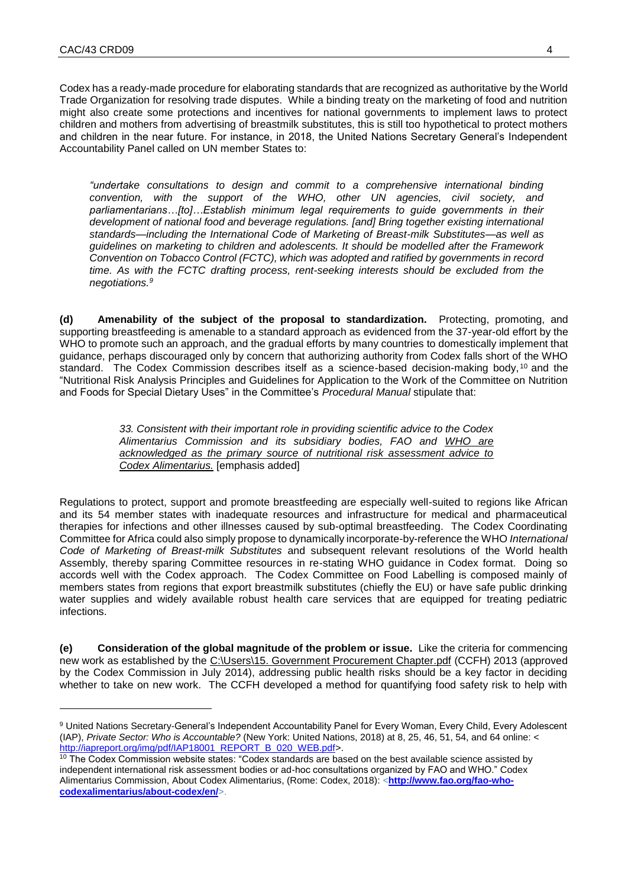1

Codex has a ready-made procedure for elaborating standards that are recognized as authoritative by the World Trade Organization for resolving trade disputes. While a binding treaty on the marketing of food and nutrition might also create some protections and incentives for national governments to implement laws to protect children and mothers from advertising of breastmilk substitutes, this is still too hypothetical to protect mothers and children in the near future. For instance, in 2018, the United Nations Secretary General's Independent Accountability Panel called on UN member States to:

*"undertake consultations to design and commit to a comprehensive international binding convention, with the support of the WHO, other UN agencies, civil society, and parliamentarians…[to]…Establish minimum legal requirements to guide governments in their development of national food and beverage regulations. [and] Bring together existing international standards—including the International Code of Marketing of Breast-milk Substitutes—as well as guidelines on marketing to children and adolescents. It should be modelled after the Framework Convention on Tobacco Control (FCTC), which was adopted and ratified by governments in record*  time. As with the FCTC drafting process, rent-seeking interests should be excluded from the *negotiations. 9* 

**(d) Amenability of the subject of the proposal to standardization.** Protecting, promoting, and supporting breastfeeding is amenable to a standard approach as evidenced from the 37-year-old effort by the WHO to promote such an approach, and the gradual efforts by many countries to domestically implement that guidance, perhaps discouraged only by concern that authorizing authority from Codex falls short of the WHO standard. The Codex Commission describes itself as a science-based decision-making body, <sup>10</sup> and the "Nutritional Risk Analysis Principles and Guidelines for Application to the Work of the Committee on Nutrition and Foods for Special Dietary Uses" in the Committee's *Procedural Manual* stipulate that:

> *33. Consistent with their important role in providing scientific advice to the Codex Alimentarius Commission and its subsidiary bodies, FAO and WHO are acknowledged as the primary source of nutritional risk assessment advice to Codex Alimentarius.* [emphasis added]

Regulations to protect, support and promote breastfeeding are especially well-suited to regions like African and its 54 member states with inadequate resources and infrastructure for medical and pharmaceutical therapies for infections and other illnesses caused by sub-optimal breastfeeding. The Codex Coordinating Committee for Africa could also simply propose to dynamically incorporate-by-reference the WHO *International Code of Marketing of Breast-milk Substitutes* and subsequent relevant resolutions of the World health Assembly, thereby sparing Committee resources in re-stating WHO guidance in Codex format. Doing so accords well with the Codex approach. The Codex Committee on Food Labelling is composed mainly of members states from regions that export breastmilk substitutes (chiefly the EU) or have safe public drinking water supplies and widely available robust health care services that are equipped for treating pediatric infections.

**(e) Consideration of the global magnitude of the problem or issue.** Like the criteria for commencing new work as established by the [C:\Users\15. Government Procurement Chapter.pdf](file:///C:/Users/15.%20Government%20Procurement%20Chapter.pdf) (CCFH) 2013 (approved by the Codex Commission in July 2014), addressing public health risks should be a key factor in deciding whether to take on new work. The CCFH developed a method for quantifying food safety risk to help with

<sup>9</sup> United Nations Secretary-General's Independent Accountability Panel for Every Woman, Every Child, Every Adolescent (IAP), *Private Sector: Who is Accountable?* (New York: United Nations, 2018) at 8, 25, 46, 51, 54, and 64 online: < [http://iapreport.org/img/pdf/IAP18001\\_REPORT\\_B\\_020\\_WEB.pdf>](http://iapreport.org/img/pdf/IAP18001_REPORT_B_020_WEB.pdf).

<sup>&</sup>lt;sup>10</sup> The Codex Commission website states: "Codex standards are based on the best available science assisted by independent international risk assessment bodies or ad-hoc consultations organized by FAO and WHO." Codex Alimentarius Commission, About Codex Alimentarius, (Rome: Codex, 2018): <**[http://www.fao.org/fao-who](http://www.fao.org/fao-who-codexalimentarius/about-codex/en/)[codexalimentarius/about-codex/en/](http://www.fao.org/fao-who-codexalimentarius/about-codex/en/)**>.